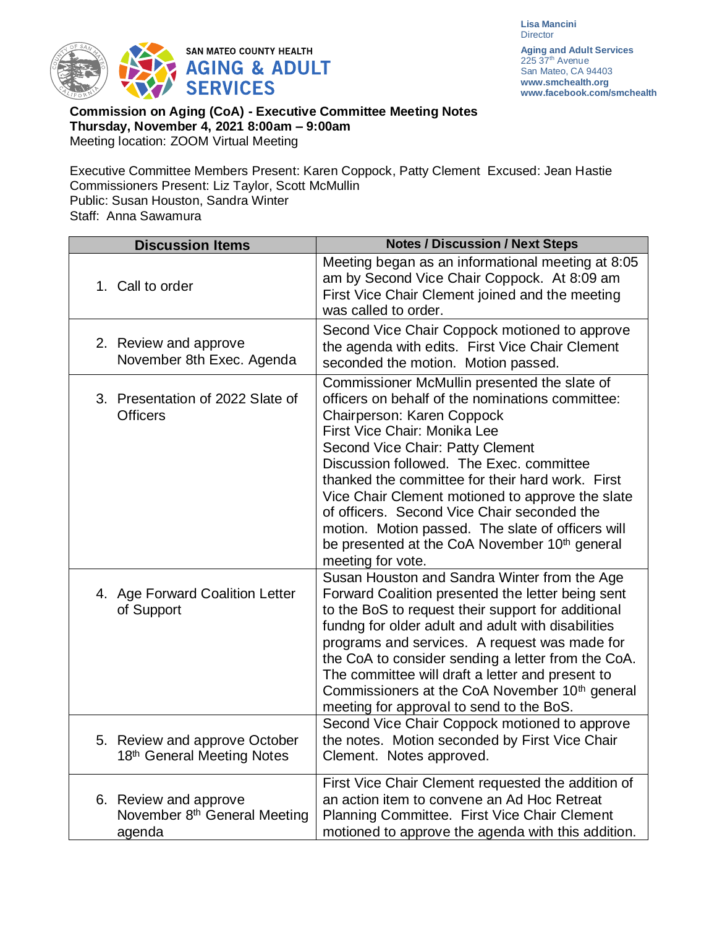**Lisa Mancini Director** 



**Aging and Adult Services** 225 37<sup>th</sup> Avenue San Mateo, CA 94403 **[www.smchealth.org](http://www.smchealth.org/) www.facebook.com/smchealth**

**Commission on Aging (CoA) - Executive Committee Meeting Notes Thursday, November 4, 2021 8:00am – 9:00am** Meeting location: ZOOM Virtual Meeting

Executive Committee Members Present: Karen Coppock, Patty Clement Excused: Jean Hastie Commissioners Present: Liz Taylor, Scott McMullin Public: Susan Houston, Sandra Winter Staff: Anna Sawamura

| <b>Discussion Items</b>                                                     | <b>Notes / Discussion / Next Steps</b>                                                                                                                                                                                                                                                                                                                                                                                                                                                                                                       |
|-----------------------------------------------------------------------------|----------------------------------------------------------------------------------------------------------------------------------------------------------------------------------------------------------------------------------------------------------------------------------------------------------------------------------------------------------------------------------------------------------------------------------------------------------------------------------------------------------------------------------------------|
| 1. Call to order                                                            | Meeting began as an informational meeting at 8:05<br>am by Second Vice Chair Coppock. At 8:09 am<br>First Vice Chair Clement joined and the meeting<br>was called to order.                                                                                                                                                                                                                                                                                                                                                                  |
| 2. Review and approve<br>November 8th Exec. Agenda                          | Second Vice Chair Coppock motioned to approve<br>the agenda with edits. First Vice Chair Clement<br>seconded the motion. Motion passed.                                                                                                                                                                                                                                                                                                                                                                                                      |
| 3. Presentation of 2022 Slate of<br><b>Officers</b>                         | Commissioner McMullin presented the slate of<br>officers on behalf of the nominations committee:<br>Chairperson: Karen Coppock<br>First Vice Chair: Monika Lee<br>Second Vice Chair: Patty Clement<br>Discussion followed. The Exec. committee<br>thanked the committee for their hard work. First<br>Vice Chair Clement motioned to approve the slate<br>of officers. Second Vice Chair seconded the<br>motion. Motion passed. The slate of officers will<br>be presented at the CoA November 10 <sup>th</sup> general<br>meeting for vote. |
| 4. Age Forward Coalition Letter<br>of Support                               | Susan Houston and Sandra Winter from the Age<br>Forward Coalition presented the letter being sent<br>to the BoS to request their support for additional<br>fundng for older adult and adult with disabilities<br>programs and services. A request was made for<br>the CoA to consider sending a letter from the CoA.<br>The committee will draft a letter and present to<br>Commissioners at the CoA November 10 <sup>th</sup> general<br>meeting for approval to send to the BoS.<br>Second Vice Chair Coppock motioned to approve          |
| 5. Review and approve October<br>18th General Meeting Notes                 | the notes. Motion seconded by First Vice Chair<br>Clement. Notes approved.                                                                                                                                                                                                                                                                                                                                                                                                                                                                   |
| 6. Review and approve<br>November 8 <sup>th</sup> General Meeting<br>agenda | First Vice Chair Clement requested the addition of<br>an action item to convene an Ad Hoc Retreat<br>Planning Committee. First Vice Chair Clement<br>motioned to approve the agenda with this addition.                                                                                                                                                                                                                                                                                                                                      |